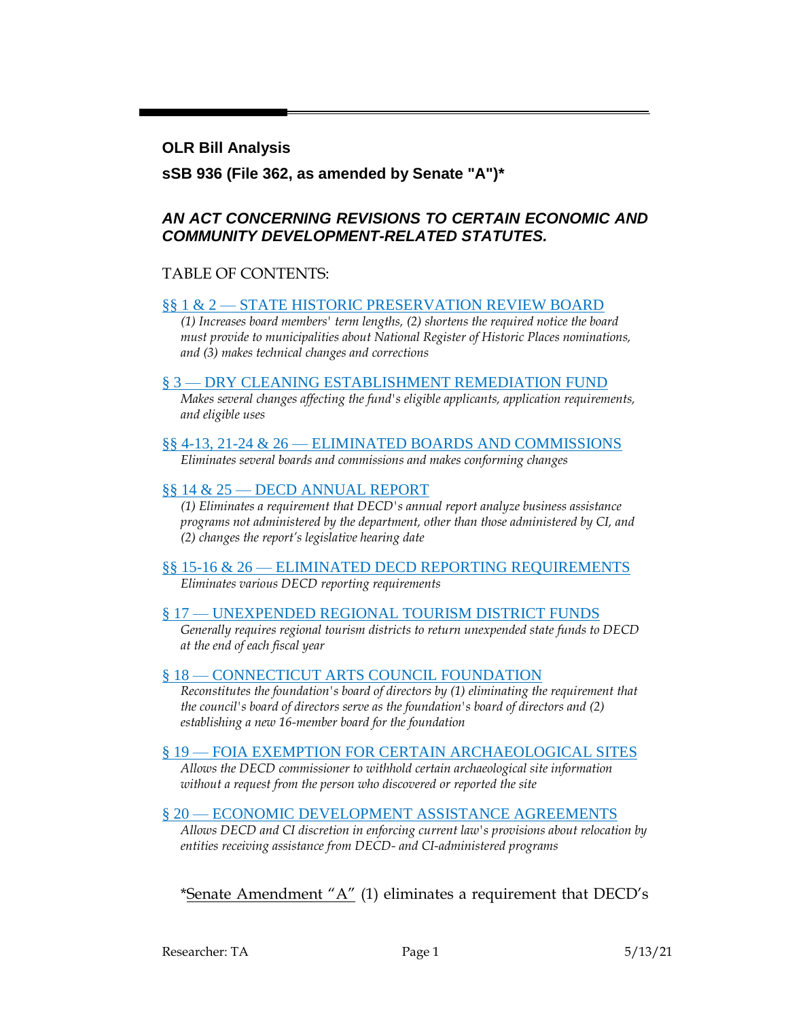#### **OLR Bill Analysis**

### **sSB 936 (File 362, as amended by Senate "A")\***

### *AN ACT CONCERNING REVISIONS TO CERTAIN ECONOMIC AND COMMUNITY DEVELOPMENT-RELATED STATUTES.*

#### TABLE OF CONTENTS:

#### §§ 1 & 2 — [STATE HISTORIC PRESERVATION REVIEW BOARD](#page-1-0)

*(1) Increases board members' term lengths, (2) shortens the required notice the board must provide to municipalities about National Register of Historic Places nominations, and (3) makes technical changes and corrections*

#### § 3 — [DRY CLEANING ESTABLISHMENT REMEDIATION FUND](#page-1-1)

*Makes several changes affecting the fund's eligible applicants, application requirements, and eligible uses*

#### §§ 4-13, 21-24 & 26 — [ELIMINATED BOARDS AND COMMISSIONS](#page-3-0)

*Eliminates several boards and commissions and makes conforming changes*

#### §§ 14 & 25 — [DECD ANNUAL REPORT](#page-4-0)

*(1) Eliminates a requirement that DECD's annual report analyze business assistance programs not administered by the department, other than those administered by CI, and (2) changes the report's legislative hearing date*

#### §§ 15-16 & 26 — [ELIMINATED DECD REPORTING REQUIREMENTS](#page-5-0) *Eliminates various DECD reporting requirements*

#### § 17 — [UNEXPENDED REGIONAL TOURISM DISTRICT FUNDS](#page-5-1)

*Generally requires regional tourism districts to return unexpended state funds to DECD at the end of each fiscal year*

#### § 18 — [CONNECTICUT ARTS COUNCIL FOUNDATION](#page-5-2)

*Reconstitutes the foundation's board of directors by (1) eliminating the requirement that the council's board of directors serve as the foundation's board of directors and (2) establishing a new 16-member board for the foundation*

#### § 19 — [FOIA EXEMPTION FOR CERTAIN ARCHAEOLOGICAL SITES](#page-6-0)

*Allows the DECD commissioner to withhold certain archaeological site information without a request from the person who discovered or reported the site*

#### § 20 — ECONOMIC DEVELOPMENT [ASSISTANCE AGREEMENTS](#page-7-0)

*Allows DECD and CI discretion in enforcing current law's provisions about relocation by entities receiving assistance from DECD- and CI-administered programs*

### \*Senate Amendment "A" (1) eliminates a requirement that DECD's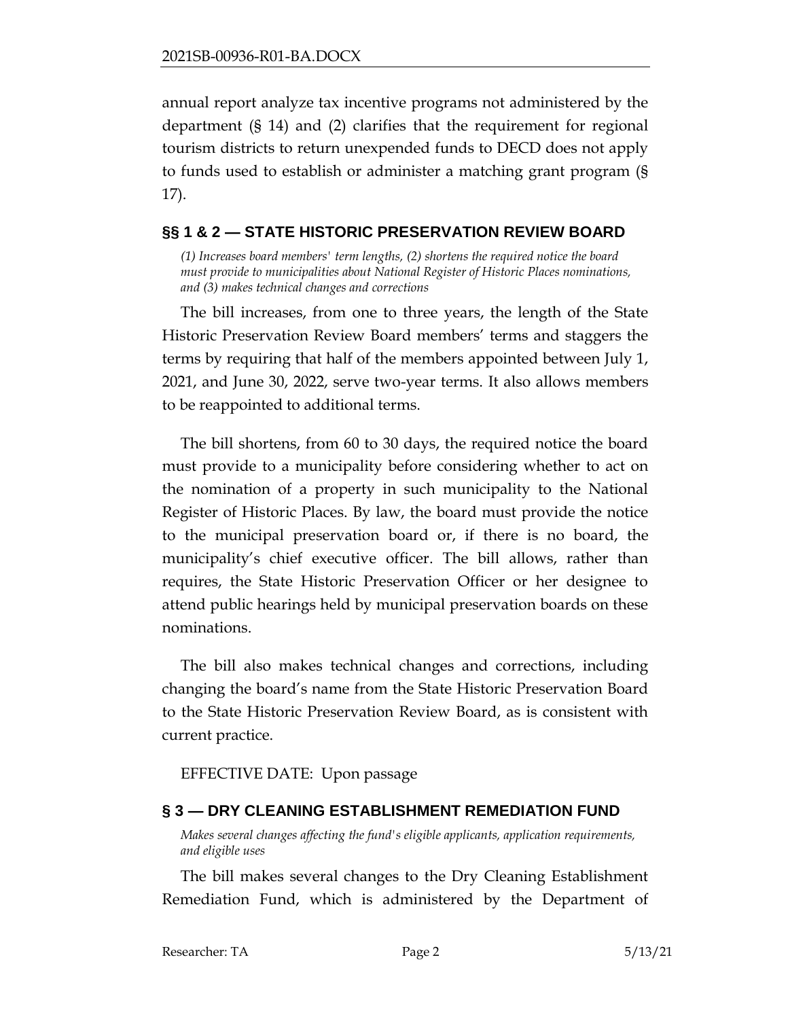annual report analyze tax incentive programs not administered by the department (§ 14) and (2) clarifies that the requirement for regional tourism districts to return unexpended funds to DECD does not apply to funds used to establish or administer a matching grant program (§ 17).

### <span id="page-1-0"></span>**§§ 1 & 2 — STATE HISTORIC PRESERVATION REVIEW BOARD**

*(1) Increases board members' term lengths, (2) shortens the required notice the board must provide to municipalities about National Register of Historic Places nominations, and (3) makes technical changes and corrections*

The bill increases, from one to three years, the length of the State Historic Preservation Review Board members' terms and staggers the terms by requiring that half of the members appointed between July 1, 2021, and June 30, 2022, serve two-year terms. It also allows members to be reappointed to additional terms.

The bill shortens, from 60 to 30 days, the required notice the board must provide to a municipality before considering whether to act on the nomination of a property in such municipality to the National Register of Historic Places. By law, the board must provide the notice to the municipal preservation board or, if there is no board, the municipality's chief executive officer. The bill allows, rather than requires, the State Historic Preservation Officer or her designee to attend public hearings held by municipal preservation boards on these nominations.

The bill also makes technical changes and corrections, including changing the board's name from the State Historic Preservation Board to the State Historic Preservation Review Board, as is consistent with current practice.

EFFECTIVE DATE: Upon passage

# <span id="page-1-1"></span>**§ 3 — DRY CLEANING ESTABLISHMENT REMEDIATION FUND**

*Makes several changes affecting the fund's eligible applicants, application requirements, and eligible uses*

The bill makes several changes to the Dry Cleaning Establishment Remediation Fund, which is administered by the Department of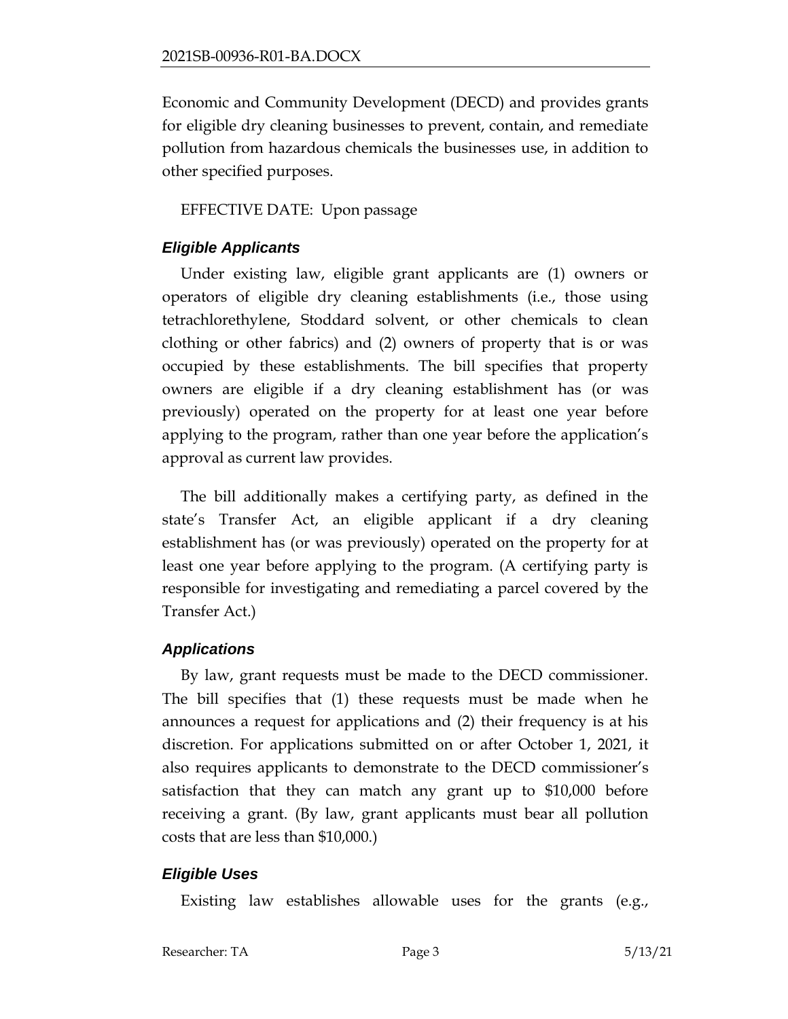Economic and Community Development (DECD) and provides grants for eligible dry cleaning businesses to prevent, contain, and remediate pollution from hazardous chemicals the businesses use, in addition to other specified purposes.

EFFECTIVE DATE: Upon passage

# *Eligible Applicants*

Under existing law, eligible grant applicants are (1) owners or operators of eligible dry cleaning establishments (i.e., those using tetrachlorethylene, Stoddard solvent, or other chemicals to clean clothing or other fabrics) and (2) owners of property that is or was occupied by these establishments. The bill specifies that property owners are eligible if a dry cleaning establishment has (or was previously) operated on the property for at least one year before applying to the program, rather than one year before the application's approval as current law provides.

The bill additionally makes a certifying party, as defined in the state's Transfer Act, an eligible applicant if a dry cleaning establishment has (or was previously) operated on the property for at least one year before applying to the program. (A certifying party is responsible for investigating and remediating a parcel covered by the Transfer Act.)

# *Applications*

By law, grant requests must be made to the DECD commissioner. The bill specifies that (1) these requests must be made when he announces a request for applications and (2) their frequency is at his discretion. For applications submitted on or after October 1, 2021, it also requires applicants to demonstrate to the DECD commissioner's satisfaction that they can match any grant up to \$10,000 before receiving a grant. (By law, grant applicants must bear all pollution costs that are less than \$10,000.)

# *Eligible Uses*

Existing law establishes allowable uses for the grants (e.g.,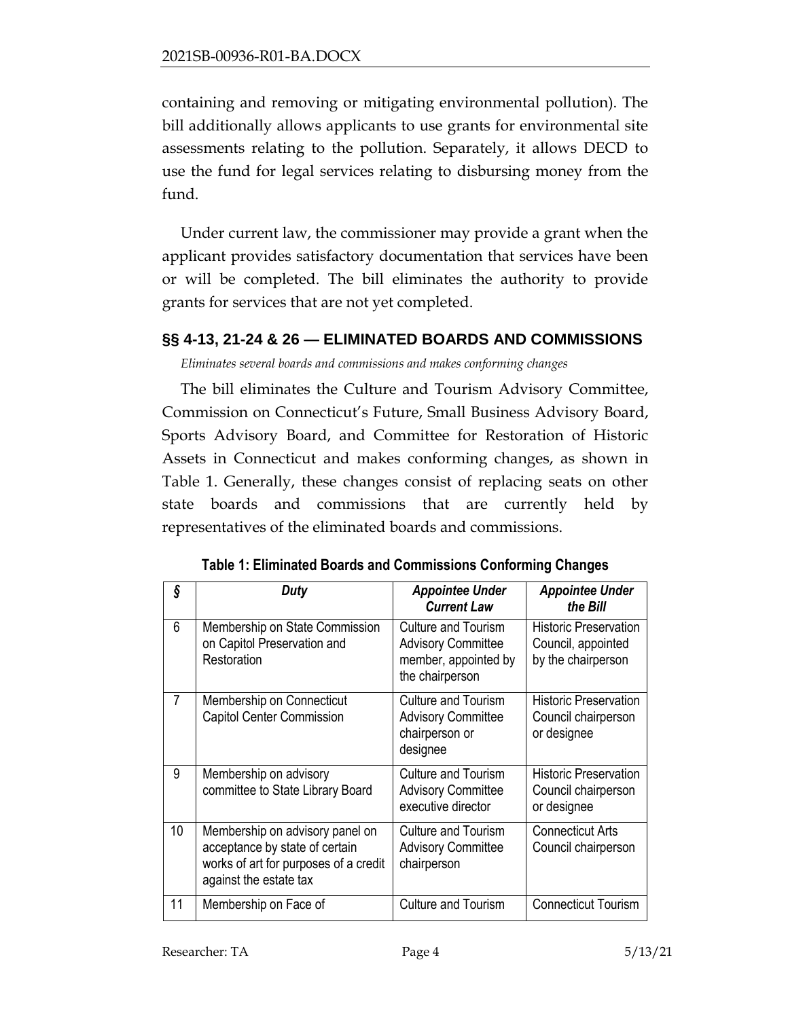containing and removing or mitigating environmental pollution). The bill additionally allows applicants to use grants for environmental site assessments relating to the pollution. Separately, it allows DECD to use the fund for legal services relating to disbursing money from the fund.

Under current law, the commissioner may provide a grant when the applicant provides satisfactory documentation that services have been or will be completed. The bill eliminates the authority to provide grants for services that are not yet completed.

### <span id="page-3-0"></span>**§§ 4-13, 21-24 & 26 — ELIMINATED BOARDS AND COMMISSIONS**

*Eliminates several boards and commissions and makes conforming changes*

The bill eliminates the Culture and Tourism Advisory Committee, Commission on Connecticut's Future, Small Business Advisory Board, Sports Advisory Board, and Committee for Restoration of Historic Assets in Connecticut and makes conforming changes, as shown in Table 1. Generally, these changes consist of replacing seats on other state boards and commissions that are currently held by representatives of the eliminated boards and commissions.

| ş  | Duty                                                                                                                                 | <b>Appointee Under</b><br><b>Current Law</b>                                                       | <b>Appointee Under</b><br>the Bill                                       |
|----|--------------------------------------------------------------------------------------------------------------------------------------|----------------------------------------------------------------------------------------------------|--------------------------------------------------------------------------|
| 6  | Membership on State Commission<br>on Capitol Preservation and<br>Restoration                                                         | <b>Culture and Tourism</b><br><b>Advisory Committee</b><br>member, appointed by<br>the chairperson | <b>Historic Preservation</b><br>Council, appointed<br>by the chairperson |
| 7  | Membership on Connecticut<br><b>Capitol Center Commission</b>                                                                        | <b>Culture and Tourism</b><br><b>Advisory Committee</b><br>chairperson or<br>designee              | <b>Historic Preservation</b><br>Council chairperson<br>or designee       |
| 9  | Membership on advisory<br>committee to State Library Board                                                                           | <b>Culture and Tourism</b><br><b>Advisory Committee</b><br>executive director                      | <b>Historic Preservation</b><br>Council chairperson<br>or designee       |
| 10 | Membership on advisory panel on<br>acceptance by state of certain<br>works of art for purposes of a credit<br>against the estate tax | <b>Culture and Tourism</b><br><b>Advisory Committee</b><br>chairperson                             | <b>Connecticut Arts</b><br>Council chairperson                           |
| 11 | Membership on Face of                                                                                                                | <b>Culture and Tourism</b>                                                                         | <b>Connecticut Tourism</b>                                               |

**Table 1: Eliminated Boards and Commissions Conforming Changes**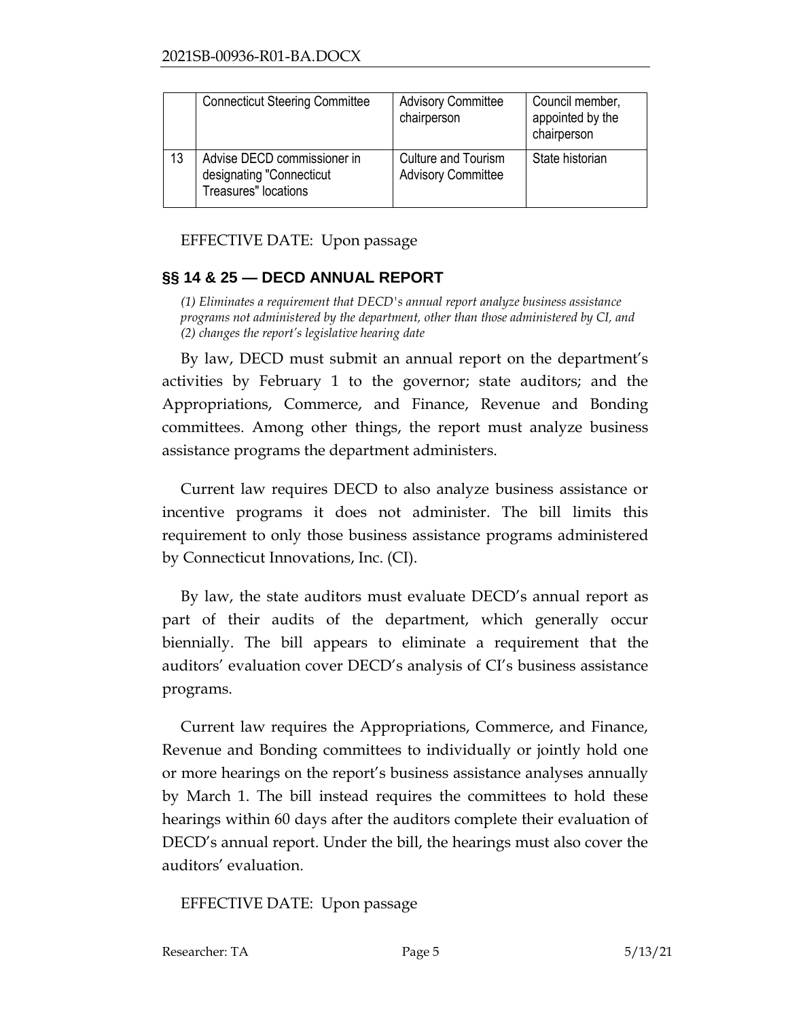|    | <b>Connecticut Steering Committee</b>                                           | <b>Advisory Committee</b><br>chairperson                | Council member,<br>appointed by the<br>chairperson |
|----|---------------------------------------------------------------------------------|---------------------------------------------------------|----------------------------------------------------|
| 13 | Advise DECD commissioner in<br>designating "Connecticut<br>Treasures" locations | <b>Culture and Tourism</b><br><b>Advisory Committee</b> | State historian                                    |

EFFECTIVE DATE: Upon passage

# <span id="page-4-0"></span>**§§ 14 & 25 — DECD ANNUAL REPORT**

*(1) Eliminates a requirement that DECD's annual report analyze business assistance programs not administered by the department, other than those administered by CI, and (2) changes the report's legislative hearing date*

By law, DECD must submit an annual report on the department's activities by February 1 to the governor; state auditors; and the Appropriations, Commerce, and Finance, Revenue and Bonding committees. Among other things, the report must analyze business assistance programs the department administers.

Current law requires DECD to also analyze business assistance or incentive programs it does not administer. The bill limits this requirement to only those business assistance programs administered by Connecticut Innovations, Inc. (CI).

By law, the state auditors must evaluate DECD's annual report as part of their audits of the department, which generally occur biennially. The bill appears to eliminate a requirement that the auditors' evaluation cover DECD's analysis of CI's business assistance programs.

Current law requires the Appropriations, Commerce, and Finance, Revenue and Bonding committees to individually or jointly hold one or more hearings on the report's business assistance analyses annually by March 1. The bill instead requires the committees to hold these hearings within 60 days after the auditors complete their evaluation of DECD's annual report. Under the bill, the hearings must also cover the auditors' evaluation.

EFFECTIVE DATE: Upon passage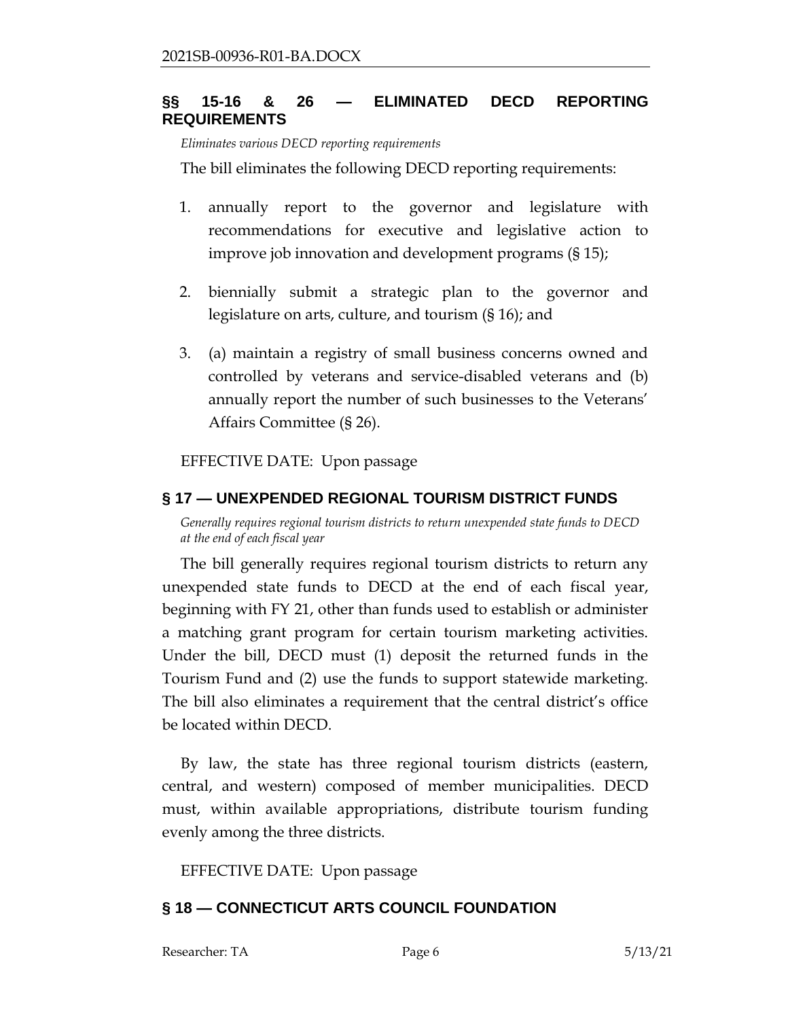# <span id="page-5-0"></span>**§§ 15-16 & 26 — ELIMINATED DECD REPORTING REQUIREMENTS**

*Eliminates various DECD reporting requirements*

The bill eliminates the following DECD reporting requirements:

- 1. annually report to the governor and legislature with recommendations for executive and legislative action to improve job innovation and development programs (§ 15);
- 2. biennially submit a strategic plan to the governor and legislature on arts, culture, and tourism (§ 16); and
- 3. (a) maintain a registry of small business concerns owned and controlled by veterans and service-disabled veterans and (b) annually report the number of such businesses to the Veterans' Affairs Committee (§ 26).

EFFECTIVE DATE: Upon passage

# <span id="page-5-1"></span>**§ 17 — UNEXPENDED REGIONAL TOURISM DISTRICT FUNDS**

*Generally requires regional tourism districts to return unexpended state funds to DECD at the end of each fiscal year*

The bill generally requires regional tourism districts to return any unexpended state funds to DECD at the end of each fiscal year, beginning with FY 21, other than funds used to establish or administer a matching grant program for certain tourism marketing activities. Under the bill, DECD must (1) deposit the returned funds in the Tourism Fund and (2) use the funds to support statewide marketing. The bill also eliminates a requirement that the central district's office be located within DECD.

By law, the state has three regional tourism districts (eastern, central, and western) composed of member municipalities. DECD must, within available appropriations, distribute tourism funding evenly among the three districts.

EFFECTIVE DATE: Upon passage

# <span id="page-5-2"></span>**§ 18 — CONNECTICUT ARTS COUNCIL FOUNDATION**

Researcher: TA Page 6 5/13/21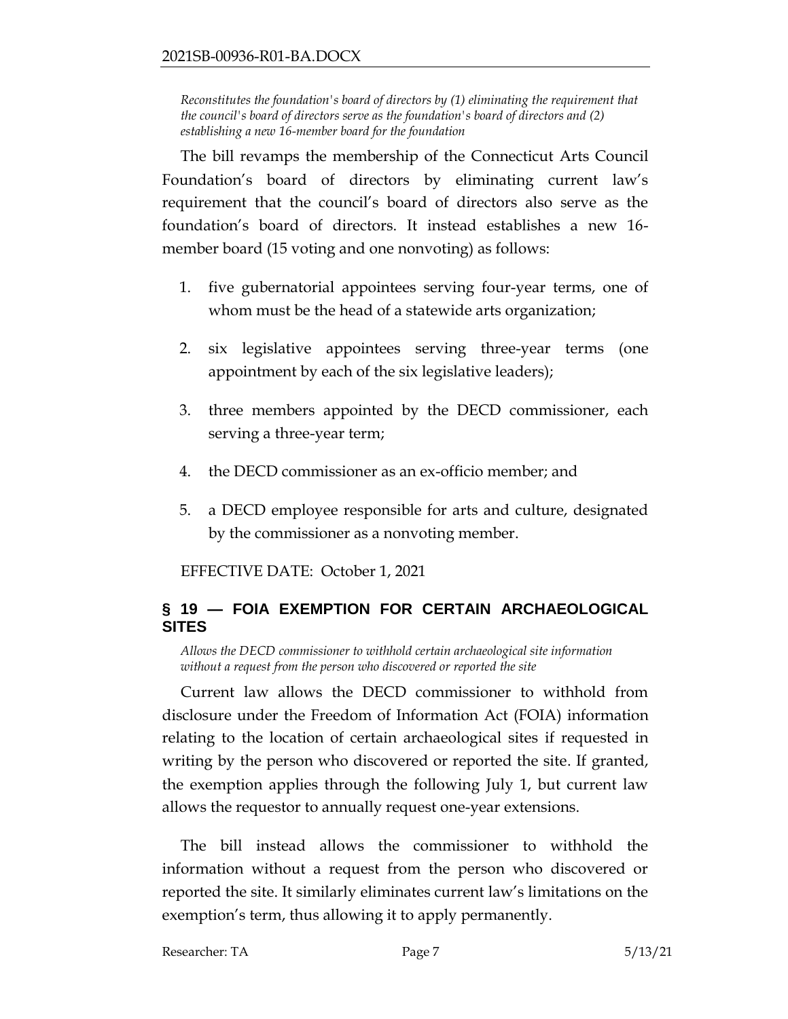*Reconstitutes the foundation's board of directors by (1) eliminating the requirement that the council's board of directors serve as the foundation's board of directors and (2) establishing a new 16-member board for the foundation*

The bill revamps the membership of the Connecticut Arts Council Foundation's board of directors by eliminating current law's requirement that the council's board of directors also serve as the foundation's board of directors. It instead establishes a new 16 member board (15 voting and one nonvoting) as follows:

- 1. five gubernatorial appointees serving four-year terms, one of whom must be the head of a statewide arts organization;
- 2. six legislative appointees serving three-year terms (one appointment by each of the six legislative leaders);
- 3. three members appointed by the DECD commissioner, each serving a three-year term;
- 4. the DECD commissioner as an ex-officio member; and
- 5. a DECD employee responsible for arts and culture, designated by the commissioner as a nonvoting member.

EFFECTIVE DATE: October 1, 2021

# <span id="page-6-0"></span>**§ 19 — FOIA EXEMPTION FOR CERTAIN ARCHAEOLOGICAL SITES**

*Allows the DECD commissioner to withhold certain archaeological site information without a request from the person who discovered or reported the site*

Current law allows the DECD commissioner to withhold from disclosure under the Freedom of Information Act (FOIA) information relating to the location of certain archaeological sites if requested in writing by the person who discovered or reported the site. If granted, the exemption applies through the following July 1, but current law allows the requestor to annually request one-year extensions.

The bill instead allows the commissioner to withhold the information without a request from the person who discovered or reported the site. It similarly eliminates current law's limitations on the exemption's term, thus allowing it to apply permanently.

Researcher: TA Page 7 5/13/21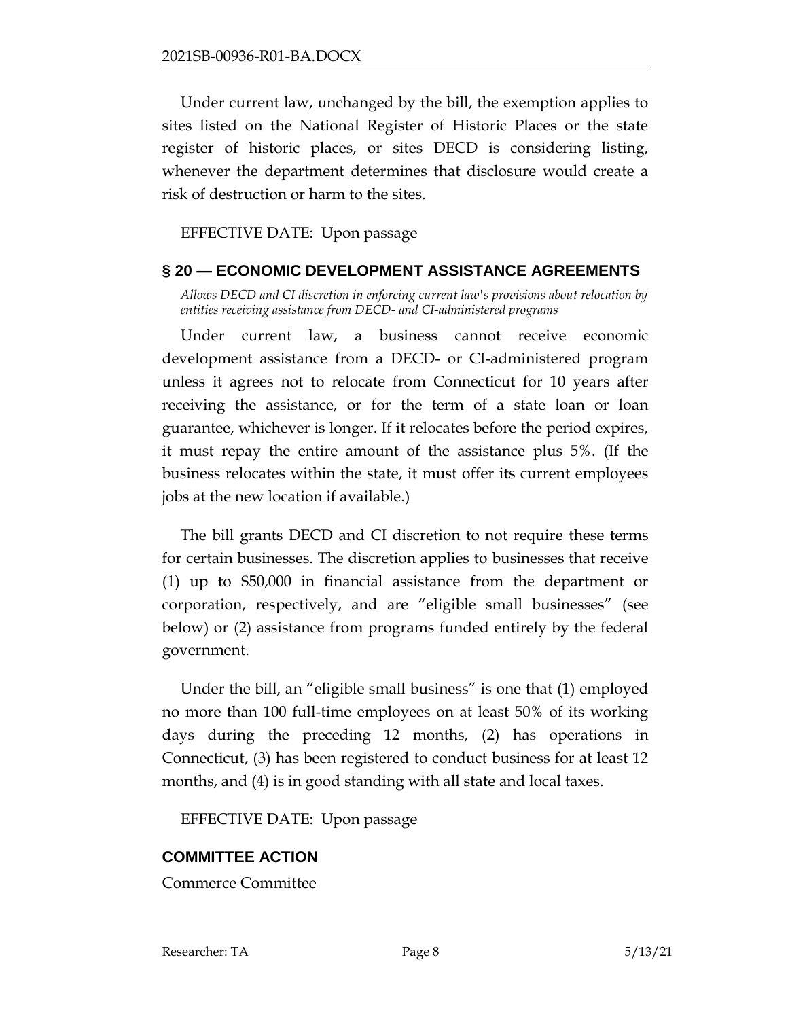Under current law, unchanged by the bill, the exemption applies to sites listed on the National Register of Historic Places or the state register of historic places, or sites DECD is considering listing, whenever the department determines that disclosure would create a risk of destruction or harm to the sites.

EFFECTIVE DATE: Upon passage

### <span id="page-7-0"></span>**§ 20 — ECONOMIC DEVELOPMENT ASSISTANCE AGREEMENTS**

*Allows DECD and CI discretion in enforcing current law's provisions about relocation by entities receiving assistance from DECD- and CI-administered programs*

Under current law, a business cannot receive economic development assistance from a DECD- or CI-administered program unless it agrees not to relocate from Connecticut for 10 years after receiving the assistance, or for the term of a state loan or loan guarantee, whichever is longer. If it relocates before the period expires, it must repay the entire amount of the assistance plus 5%. (If the business relocates within the state, it must offer its current employees jobs at the new location if available.)

The bill grants DECD and CI discretion to not require these terms for certain businesses. The discretion applies to businesses that receive (1) up to \$50,000 in financial assistance from the department or corporation, respectively, and are "eligible small businesses" (see below) or (2) assistance from programs funded entirely by the federal government.

Under the bill, an "eligible small business" is one that (1) employed no more than 100 full-time employees on at least 50% of its working days during the preceding 12 months, (2) has operations in Connecticut, (3) has been registered to conduct business for at least 12 months, and (4) is in good standing with all state and local taxes.

EFFECTIVE DATE: Upon passage

# **COMMITTEE ACTION**

Commerce Committee